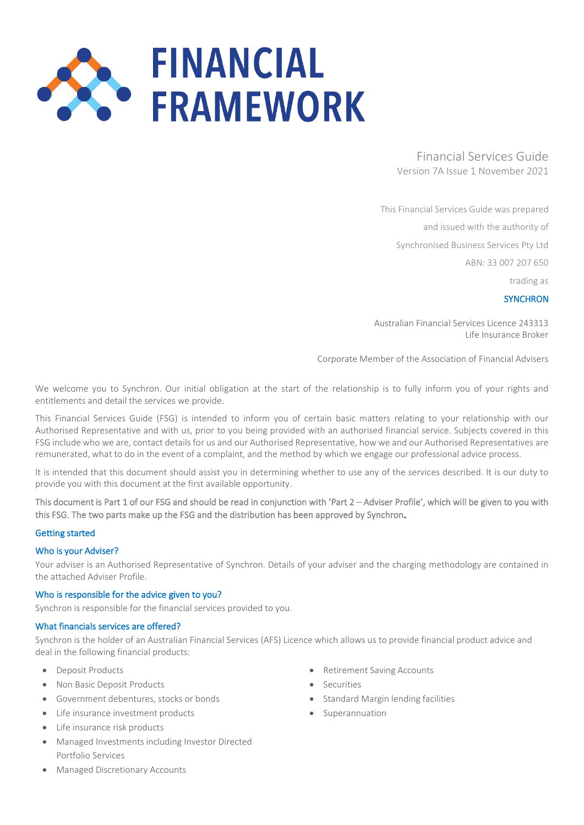# **FINANCIAL FRAMEWORK**

Financial Services Guide Version 7A Issue 1 November 2021

This Financial Services Guide was prepared

and issued with the authority of

Synchronised Business Services Pty Ltd

ABN: 33 007 207 650

trading as

**SYNCHRON** 

Australian Financial Services Licence 243313 Life Insurance Broker

Corporate Member of the Association of Financial Advisers

We welcome you to Synchron. Our initial obligation at the start of the relationship is to fully inform you of your rights and entitlements and detail the services we provide.

This Financial Services Guide (FSG) is intended to inform you of certain basic matters relating to your relationship with our Authorised Representative and with us, prior to you being provided with an authorised financial service. Subjects covered in this FSG include who we are, contact details for us and our Authorised Representative, how we and our Authorised Representatives are remunerated, what to do in the event of a complaint, and the method by which we engage our professional advice process.

It is intended that this document should assist you in determining whether to use any of the services described. It is our duty to provide you with this document at the first available opportunity.

This document is Part 1 of our FSG and should be read in conjunction with 'Part 2 – Adviser Profile', which will be given to you with this FSG. The two parts make up the FSG and the distribution has been approved by Synchron.

#### Getting started

#### Who is your Adviser?

Your adviser is an Authorised Representative of Synchron. Details of your adviser and the charging methodology are contained in the attached Adviser Profile.

#### Who is responsible for the advice given to you?

Synchron is responsible for the financial services provided to you.

#### What financials services are offered?

Synchron is the holder of an Australian Financial Services (AFS) Licence which allows us to provide financial product advice and deal in the following financial products:

- Deposit Products
- Non Basic Deposit Products
- Government debentures, stocks or bonds
- Life insurance investment products
- Life insurance risk products
- Managed Investments including Investor Directed Portfolio Services
- Retirement Saving Accounts
- Securities
- Standard Margin lending facilities
- Superannuation

• Managed Discretionary Accounts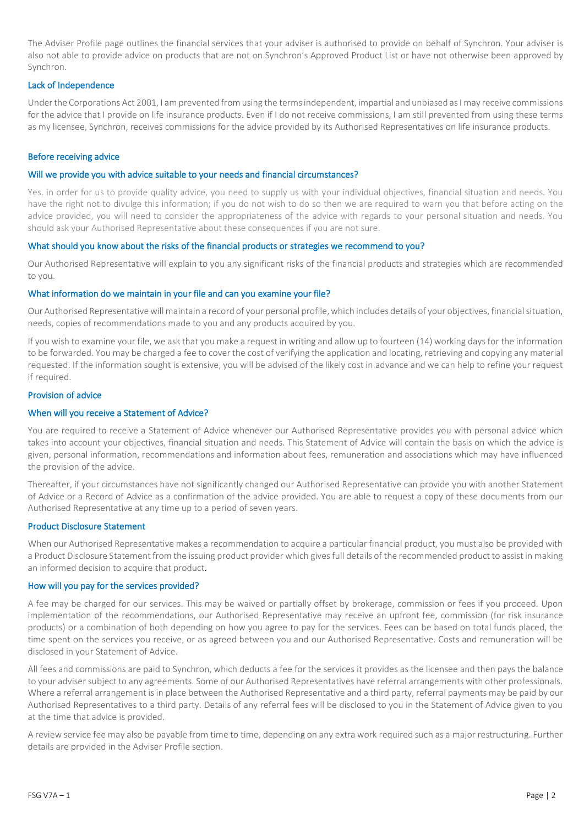The Adviser Profile page outlines the financial services that your adviser is authorised to provide on behalf of Synchron. Your adviser is also not able to provide advice on products that are not on Synchron's Approved Product List or have not otherwise been approved by Synchron.

#### Lack of Independence

Under the Corporations Act 2001, I am prevented from using the terms independent, impartial and unbiased as I may receive commissions for the advice that I provide on life insurance products. Even if I do not receive commissions, I am still prevented from using these terms as my licensee, Synchron, receives commissions for the advice provided by its Authorised Representatives on life insurance products.

#### Before receiving advice

# Will we provide you with advice suitable to your needs and financial circumstances?

Yes. in order for us to provide quality advice, you need to supply us with your individual objectives, financial situation and needs. You have the right not to divulge this information; if you do not wish to do so then we are required to warn you that before acting on the advice provided, you will need to consider the appropriateness of the advice with regards to your personal situation and needs. You should ask your Authorised Representative about these consequences if you are not sure.

# What should you know about the risks of the financial products or strategies we recommend to you?

Our Authorised Representative will explain to you any significant risks of the financial products and strategies which are recommended to you.

# What information do we maintain in your file and can you examine your file?

Our Authorised Representative will maintain a record of your personal profile, which includes details of your objectives, financial situation, needs, copies of recommendations made to you and any products acquired by you.

If you wish to examine your file, we ask that you make a request in writing and allow up to fourteen (14) working days for the information to be forwarded. You may be charged a fee to cover the cost of verifying the application and locating, retrieving and copying any material requested. If the information sought is extensive, you will be advised of the likely cost in advance and we can help to refine your request if required.

#### Provision of advice

# When will you receive a Statement of Advice?

You are required to receive a Statement of Advice whenever our Authorised Representative provides you with personal advice which takes into account your objectives, financial situation and needs. This Statement of Advice will contain the basis on which the advice is given, personal information, recommendations and information about fees, remuneration and associations which may have influenced the provision of the advice.

Thereafter, if your circumstances have not significantly changed our Authorised Representative can provide you with another Statement of Advice or a Record of Advice as a confirmation of the advice provided. You are able to request a copy of these documents from our Authorised Representative at any time up to a period of seven years.

#### Product Disclosure Statement

When our Authorised Representative makes a recommendation to acquire a particular financial product, you must also be provided with a Product Disclosure Statement from the issuing product provider which gives full details of the recommended product to assist in making an informed decision to acquire that product.

#### How will you pay for the services provided?

A fee may be charged for our services. This may be waived or partially offset by brokerage, commission or fees if you proceed. Upon implementation of the recommendations, our Authorised Representative may receive an upfront fee, commission (for risk insurance products) or a combination of both depending on how you agree to pay for the services. Fees can be based on total funds placed, the time spent on the services you receive, or as agreed between you and our Authorised Representative. Costs and remuneration will be disclosed in your Statement of Advice.

All fees and commissions are paid to Synchron, which deducts a fee for the services it provides as the licensee and then pays the balance to your adviser subject to any agreements. Some of our Authorised Representatives have referral arrangements with other professionals. Where a referral arrangement is in place between the Authorised Representative and a third party, referral payments may be paid by our Authorised Representatives to a third party. Details of any referral fees will be disclosed to you in the Statement of Advice given to you at the time that advice is provided.

A review service fee may also be payable from time to time, depending on any extra work required such as a major restructuring. Further details are provided in the Adviser Profile section.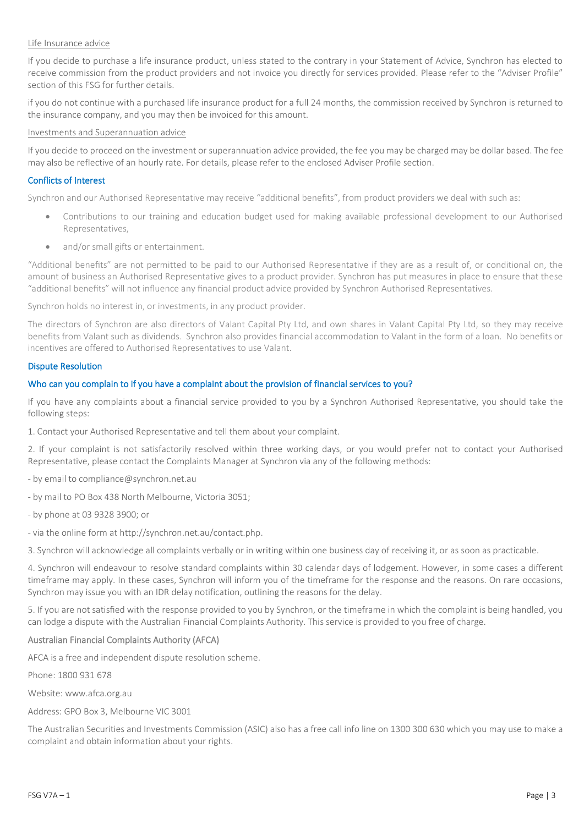#### Life Insurance advice

If you decide to purchase a life insurance product, unless stated to the contrary in your Statement of Advice, Synchron has elected to receive commission from the product providers and not invoice you directly for services provided. Please refer to the "Adviser Profile" section of this FSG for further details.

if you do not continue with a purchased life insurance product for a full 24 months, the commission received by Synchron is returned to the insurance company, and you may then be invoiced for this amount.

#### Investments and Superannuation advice

If you decide to proceed on the investment or superannuation advice provided, the fee you may be charged may be dollar based. The fee may also be reflective of an hourly rate. For details, please refer to the enclosed Adviser Profile section.

#### Conflicts of Interest

Synchron and our Authorised Representative may receive "additional benefits", from product providers we deal with such as:

- Contributions to our training and education budget used for making available professional development to our Authorised Representatives,
- and/or small gifts or entertainment.

"Additional benefits" are not permitted to be paid to our Authorised Representative if they are as a result of, or conditional on, the amount of business an Authorised Representative gives to a product provider. Synchron has put measures in place to ensure that these "additional benefits" will not influence any financial product advice provided by Synchron Authorised Representatives.

Synchron holds no interest in, or investments, in any product provider.

The directors of Synchron are also directors of Valant Capital Pty Ltd, and own shares in Valant Capital Pty Ltd, so they may receive benefits from Valant such as dividends. Synchron also provides financial accommodation to Valant in the form of a loan. No benefits or incentives are offered to Authorised Representatives to use Valant.

#### Dispute Resolution

#### Who can you complain to if you have a complaint about the provision of financial services to you?

If you have any complaints about a financial service provided to you by a Synchron Authorised Representative, you should take the following steps:

1. Contact your Authorised Representative and tell them about your complaint.

2. If your complaint is not satisfactorily resolved within three working days, or you would prefer not to contact your Authorised Representative, please contact the Complaints Manager at Synchron via any of the following methods:

- by email to compliance@synchron.net.au
- by mail to PO Box 438 North Melbourne, Victoria 3051;
- by phone at 03 9328 3900; or
- via the online form at http://synchron.net.au/contact.php.

3. Synchron will acknowledge all complaints verbally or in writing within one business day of receiving it, or as soon as practicable.

4. Synchron will endeavour to resolve standard complaints within 30 calendar days of lodgement. However, in some cases a different timeframe may apply. In these cases, Synchron will inform you of the timeframe for the response and the reasons. On rare occasions, Synchron may issue you with an IDR delay notification, outlining the reasons for the delay.

5. If you are not satisfied with the response provided to you by Synchron, or the timeframe in which the complaint is being handled, you can lodge a dispute with the Australian Financial Complaints Authority. This service is provided to you free of charge.

#### Australian Financial Complaints Authority (AFCA)

AFCA is a free and independent dispute resolution scheme.

Phone: 1800 931 678

Website: [www.afca.org.au](http://www.afca.org.au/)

Address: GPO Box 3, Melbourne VIC 3001

The Australian Securities and Investments Commission (ASIC) also has a free call info line on 1300 300 630 which you may use to make a complaint and obtain information about your rights.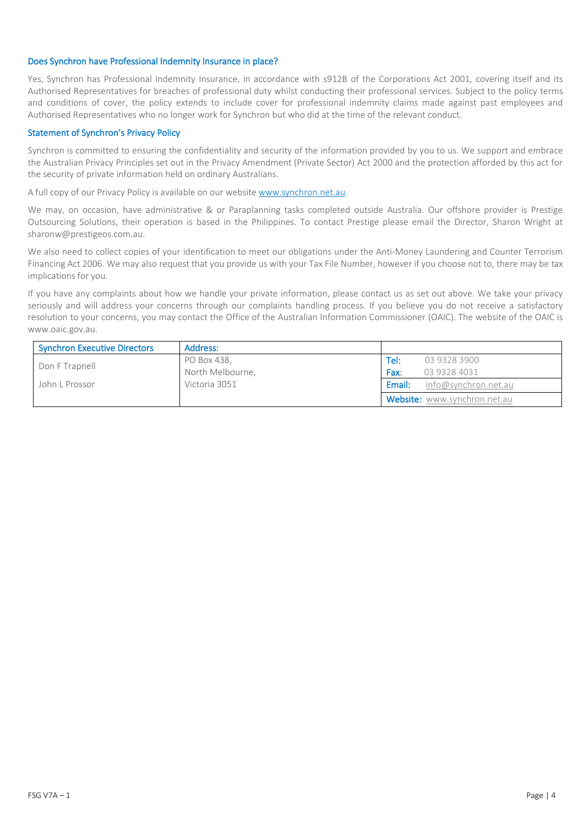#### Does Synchron have Professional Indemnity Insurance in place?

Yes, Synchron has Professional Indemnity Insurance, in accordance with s912B of the Corporations Act 2001, covering itself and its Authorised Representatives for breaches of professional duty whilst conducting their professional services. Subject to the policy terms and conditions of cover, the policy extends to include cover for professional indemnity claims made against past employees and Authorised Representatives who no longer work for Synchron but who did at the time of the relevant conduct.

## Statement of Synchron's Privacy Policy

Synchron is committed to ensuring the confidentiality and security of the information provided by you to us. We support and embrace the Australian Privacy Principles set out in the Privacy Amendment (Private Sector) Act 2000 and the protection afforded by this act for the security of private information held on ordinary Australians.

A full copy of our Privacy Policy is available on our website www.synchron.net.au.

We may, on occasion, have administrative & or Paraplanning tasks completed outside Australia. Our offshore provider is Prestige Outsourcing Solutions, their operation is based in the Philippines. To contact Prestige please email the Director, Sharon Wright at sharonw@prestigeos.com.au.

We also need to collect copies of your identification to meet our obligations under the Anti-Money Laundering and Counter Terrorism Financing Act 2006. We may also request that you provide us with your Tax File Number, however if you choose not to, there may be tax implications for you.

If you have any complaints about how we handle your private information, please contact us as set out above. We take your privacy seriously and will address your concerns through our complaints handling process. If you believe you do not receive a satisfactory resolution to your concerns, you may contact the Office of the Australian Information Commissioner (OAIC). The website of the OAIC is [www.oaic.gov.au.](http://www.oaic.gov.au/)

| <b>Synchron Executive Directors</b> | Address:         |        |                              |
|-------------------------------------|------------------|--------|------------------------------|
| Don F Trapnell                      | PO Box 438,      | Tel:   | 03 9328 3900                 |
|                                     | North Melbourne, | Fax:   | 03 9328 4031                 |
| John L Prossor                      | Victoria 3051    | Email: | info@synchron.net.au         |
|                                     |                  |        | Website: www.synchron.net.au |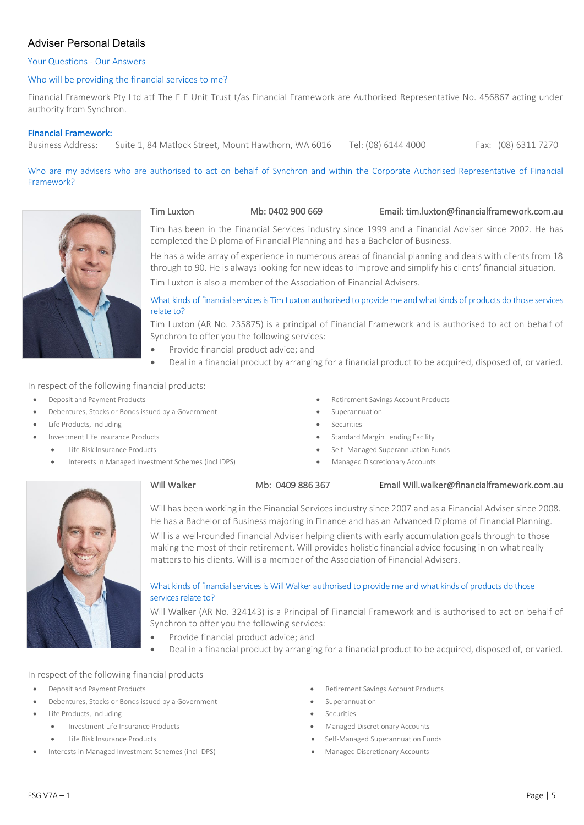# Adviser Personal Details

# Your Questions - Our Answers

# Who will be providing the financial services to me?

Financial Framework Pty Ltd atf The F F Unit Trust t/as Financial Framework are Authorised Representative No. 456867 acting under authority from Synchron.

# Financial Framework:

Business Address: Suite 1, 84 Matlock Street, Mount Hawthorn, WA 6016 Tel: (08) 6144 4000 Fax: (08) 6311 7270

Who are my advisers who are authorised to act on behalf of Synchron and within the Corporate Authorised Representative of Financial Framework?



#### Tim Luxton Mb: 0402 900 669 Email: tim.luxton@financialframework.com.au

Tim has been in the Financial Services industry since 1999 and a Financial Adviser since 2002. He has completed the Diploma of Financial Planning and has a Bachelor of Business.

He has a wide array of experience in numerous areas of financial planning and deals with clients from 18 through to 90. He is always looking for new ideas to improve and simplify his clients' financial situation.

Tim Luxton is also a member of the Association of Financial Advisers.

What kinds of financial services is Tim Luxton authorised to provide me and what kinds of products do those services relate to?

Tim Luxton (AR No. 235875) is a principal of Financial Framework and is authorised to act on behalf of Synchron to offer you the following services:

- Provide financial product advice; and
- Deal in a financial product by arranging for a financial product to be acquired, disposed of, or varied.

In respect of the following financial products:

- 
- **Debentures, Stocks or Bonds issued by a Government Superannuation** Superannuation
- Life Products, including Securities
- -
	- Interests in Managed Investment Schemes (incl IDPS) Managed Discretionary Accounts
- Deposit and Payment Products Retirement Savings Account Products
	-
	-
- Investment Life Insurance Products Standard Margin Lending Facility
	- Life Risk Insurance Products  **Self-Managed Superannuation Funds •** Self-Managed Superannuation Funds
		-



Will Walker 6. Mb: 0409 886 367 Email Will.walker@financialframework.com.au

Will has been working in the Financial Services industry since 2007 and as a Financial Adviser since 2008. He has a Bachelor of Business majoring in Finance and has an Advanced Diploma of Financial Planning. Will is a well-rounded Financial Adviser helping clients with early accumulation goals through to those

making the most of their retirement. Will provides holistic financial advice focusing in on what really matters to his clients. Will is a member of the Association of Financial Advisers.

## What kinds of financial services is Will Walker authorised to provide me and what kinds of products do those services relate to?

Will Walker (AR No. 324143) is a Principal of Financial Framework and is authorised to act on behalf of Synchron to offer you the following services:

- Provide financial product advice; and
- Deal in a financial product by arranging for a financial product to be acquired, disposed of, or varied.

#### In respect of the following financial products

- 
- **Debentures, Stocks or Bonds issued by a Government \* The Superannuation \* Superannuation**
- Life Products, including Securities
	-
	-
- Interests in Managed Investment Schemes (incl IDPS) Managed Discretionary Accounts
- Deposit and Payment Products Retirement Savings Account Products
	-
	-
	- Investment Life Insurance Products Managed Discretionary Accounts
	- Life Risk Insurance Products Self-Managed Superannuation Funds
		-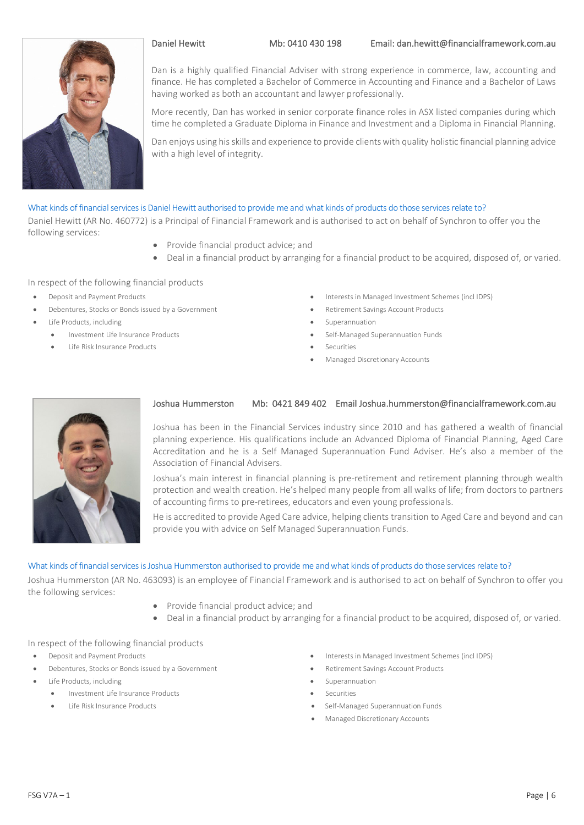

Dan is a highly qualified Financial Adviser with strong experience in commerce, law, accounting and finance. He has completed a Bachelor of Commerce in Accounting and Finance and a Bachelor of Laws having worked as both an accountant and lawyer professionally.

More recently, Dan has worked in senior corporate finance roles in ASX listed companies during which time he completed a Graduate Diploma in Finance and Investment and a Diploma in Financial Planning.

Dan enjoys using his skills and experience to provide clients with quality holistic financial planning advice with a high level of integrity.

## What kinds of financial services is Daniel Hewitt authorised to provide me and what kinds of products do those services relate to?

Daniel Hewitt (AR No. 460772) is a Principal of Financial Framework and is authorised to act on behalf of Synchron to offer you the following services:

- Provide financial product advice; and
- Deal in a financial product by arranging for a financial product to be acquired, disposed of, or varied.

#### In respect of the following financial products

- 
- **Pebentures, Stocks or Bonds issued by a Government Retirement Savings Account Products**
- Life Products, including Superannuation
- - Life Risk Insurance Products **•** Securities
- Deposit and Payment Products Interests in Managed Investment Schemes (incl IDPS)
	-
	-
	- Investment Life Insurance Products Self-Managed Superannuation Funds
		-
		- Managed Discretionary Accounts



## Joshua Hummerston Mb: 0421 849 402 Email Joshua.hummerston@financialframework.com.au

Joshua has been in the Financial Services industry since 2010 and has gathered a wealth of financial planning experience. His qualifications include an Advanced Diploma of Financial Planning, Aged Care Accreditation and he is a Self Managed Superannuation Fund Adviser. He's also a member of the Association of Financial Advisers.

Joshua's main interest in financial planning is pre-retirement and retirement planning through wealth protection and wealth creation. He's helped many people from all walks of life; from doctors to partners of accounting firms to pre-retirees, educators and even young professionals.

He is accredited to provide Aged Care advice, helping clients transition to Aged Care and beyond and can provide you with advice on Self Managed Superannuation Funds.

#### What kinds of financial services is Joshua Hummerston authorised to provide me and what kinds of products do those services relate to?

Joshua Hummerston (AR No. 463093) is an employee of Financial Framework and is authorised to act on behalf of Synchron to offer you the following services:

- Provide financial product advice; and
- Deal in a financial product by arranging for a financial product to be acquired, disposed of, or varied.

#### In respect of the following financial products

- 
- **Pebentures, Stocks or Bonds issued by a Government Retirement Savings Account Products**
- Life Products, including example and the superannuation of the Superannuation of the Superannuation
	- Investment Life Insurance Products Securities
	-
- Deposit and Payment Products Interests in Managed Investment Schemes (incl IDPS)
	-
	-
	-
	- Life Risk Insurance Products Self-Managed Superannuation Funds
		- Managed Discretionary Accounts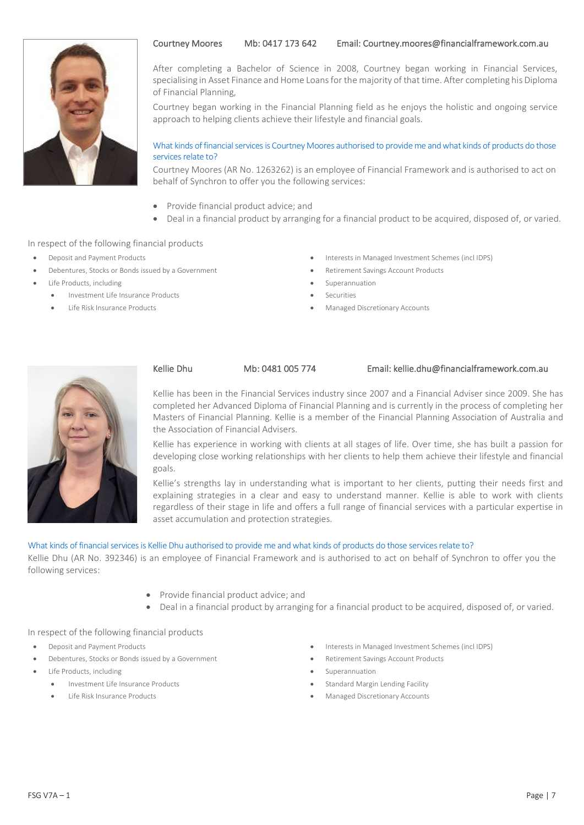



After completing a Bachelor of Science in 2008, Courtney began working in Financial Services, specialising in Asset Finance and Home Loans for the majority of that time. After completing his Diploma of Financial Planning,

Courtney began working in the Financial Planning field as he enjoys the holistic and ongoing service approach to helping clients achieve their lifestyle and financial goals.

## What kinds of financial services is Courtney Moores authorised to provide me and what kinds of products do those services relate to?

Courtney Moores (AR No. 1263262) is an employee of Financial Framework and is authorised to act on behalf of Synchron to offer you the following services:

- Provide financial product advice; and
- Deal in a financial product by arranging for a financial product to be acquired, disposed of, or varied.

## In respect of the following financial products

- 
- **Pebentures, Stocks or Bonds issued by a Government Retirement Savings Account Products**
- Life Products, including Superannuation
	- Investment Life Insurance Products Securities
	-
- Deposit and Payment Products Interests in Managed Investment Schemes (incl IDPS)
	-
	-
	-
	- Life Risk Insurance Products  **Managed Discretionary Accounts** Managed Discretionary Accounts



#### Kellie Dhu Mb: 0481 005 774 Email: kellie.dhu@financialframework.com.au

Kellie has been in the Financial Services industry since 2007 and a Financial Adviser since 2009. She has completed her Advanced Diploma of Financial Planning and is currently in the process of completing her Masters of Financial Planning. Kellie is a member of the Financial Planning Association of Australia and the Association of Financial Advisers.

Kellie has experience in working with clients at all stages of life. Over time, she has built a passion for developing close working relationships with her clients to help them achieve their lifestyle and financial goals.

Kellie's strengths lay in understanding what is important to her clients, putting their needs first and explaining strategies in a clear and easy to understand manner. Kellie is able to work with clients regardless of their stage in life and offers a full range of financial services with a particular expertise in asset accumulation and protection strategies.

#### What kinds of financial services is Kellie Dhu authorised to provide me and what kinds of products do those services relate to?

Kellie Dhu (AR No. 392346) is an employee of Financial Framework and is authorised to act on behalf of Synchron to offer you the following services:

- Provide financial product advice; and
- Deal in a financial product by arranging for a financial product to be acquired, disposed of, or varied.

# In respect of the following financial products

- 
- Debentures, Stocks or Bonds issued by a Government Retirement Savings Account Products
- Life Products, including Superannuation
	- Investment Life Insurance Products Standard Margin Lending Facility
		-
- Deposit and Payment Products Interests in Managed Investment Schemes (incl IDPS)
	-
	-
	-
	- Life Risk Insurance Products Managed Discretionary Accounts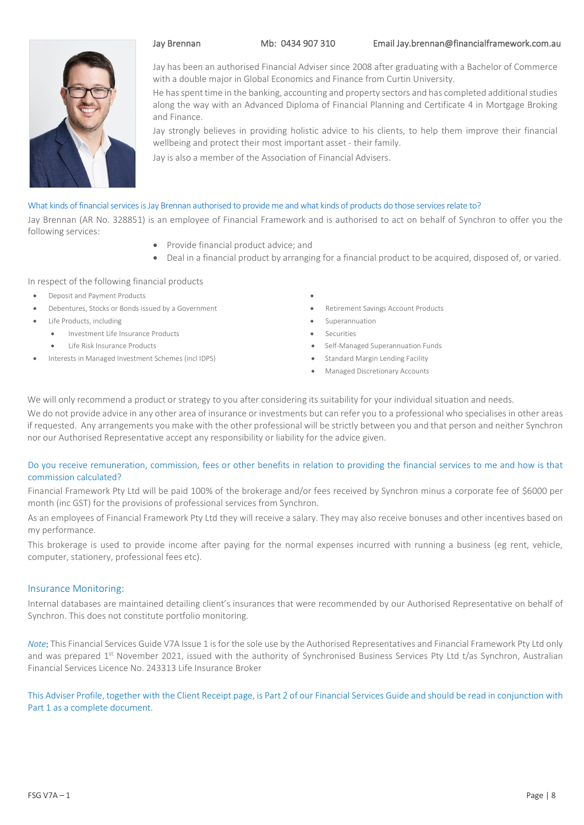

Jay has been an authorised Financial Adviser since 2008 after graduating with a Bachelor of Commerce with a double major in Global Economics and Finance from Curtin University.

He has spent time in the banking, accounting and property sectors and has completed additional studies along the way with an Advanced Diploma of Financial Planning and Certificate 4 in Mortgage Broking and Finance.

Jay strongly believes in providing holistic advice to his clients, to help them improve their financial wellbeing and protect their most important asset - their family.

Jay is also a member of the Association of Financial Advisers.

#### What kinds of financial services is Jay Brennan authorised to provide me and what kinds of products do those services relate to?

Jay Brennan (AR No. 328851) is an employee of Financial Framework and is authorised to act on behalf of Synchron to offer you the following services:

- Provide financial product advice; and
- Deal in a financial product by arranging for a financial product to be acquired, disposed of, or varied.

#### In respect of the following financial products

- Deposit and Payment Products •
- **Pedentures, Stocks or Bonds issued by a Government Retirement Savings Account Products**
- Life Products, including Superannuation
	- Investment Life Insurance Products Securities
		-
- Interests in Managed Investment Schemes (incl IDPS) Standard Margin Lending Facility
- 
- 
- 
- 
- Life Risk Insurance Products  **Self-Managed Superannuation Funds •** Self-Managed Superannuation Funds
	-
	- Managed Discretionary Accounts

We will only recommend a product or strategy to you after considering its suitability for your individual situation and needs.

We do not provide advice in any other area of insurance or investments but can refer you to a professional who specialises in other areas if requested. Any arrangements you make with the other professional will be strictly between you and that person and neither Synchron nor our Authorised Representative accept any responsibility or liability for the advice given.

## Do you receive remuneration, commission, fees or other benefits in relation to providing the financial services to me and how is that commission calculated?

Financial Framework Pty Ltd will be paid 100% of the brokerage and/or fees received by Synchron minus a corporate fee of \$6000 per month (inc GST) for the provisions of professional services from Synchron.

As an employees of Financial Framework Pty Ltd they will receive a salary. They may also receive bonuses and other incentives based on my performance.

This brokerage is used to provide income after paying for the normal expenses incurred with running a business (eg rent, vehicle, computer, stationery, professional fees etc).

# Insurance Monitoring:

Internal databases are maintained detailing client's insurances that were recommended by our Authorised Representative on behalf of Synchron. This does not constitute portfolio monitoring.

*Note*: This Financial Services Guide V7A Issue 1 is for the sole use by the Authorised Representatives and Financial Framework Pty Ltd only and was prepared 1<sup>st</sup> November 2021, issued with the authority of Synchronised Business Services Pty Ltd t/as Synchron, Australian Financial Services Licence No. 243313 Life Insurance Broker

This Adviser Profile, together with the Client Receipt page, is Part 2 of our Financial Services Guide and should be read in conjunction with Part 1 as a complete document.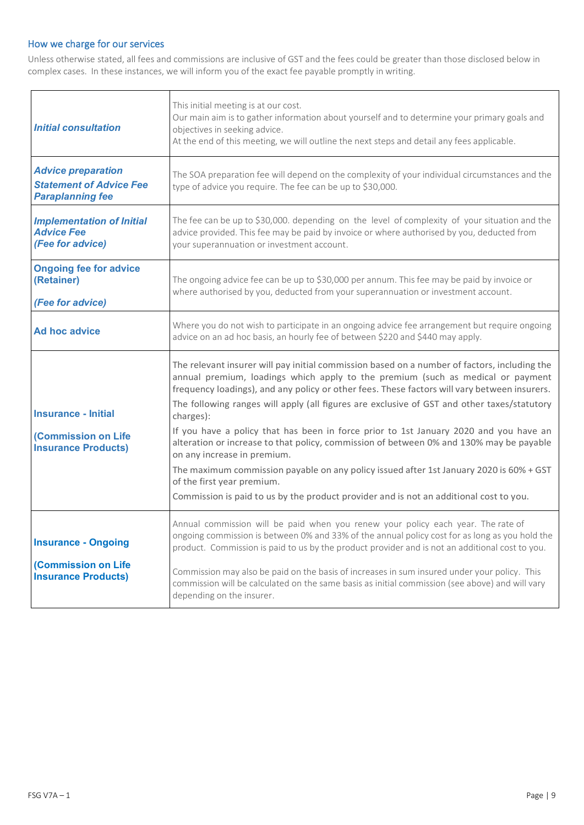# How we charge for our services

Unless otherwise stated, all fees and commissions are inclusive of GST and the fees could be greater than those disclosed below in complex cases. In these instances, we will inform you of the exact fee payable promptly in writing.

| <b>Initial consultation</b>                                                            | This initial meeting is at our cost.<br>Our main aim is to gather information about yourself and to determine your primary goals and<br>objectives in seeking advice.<br>At the end of this meeting, we will outline the next steps and detail any fees applicable.                                                                                                            |
|----------------------------------------------------------------------------------------|--------------------------------------------------------------------------------------------------------------------------------------------------------------------------------------------------------------------------------------------------------------------------------------------------------------------------------------------------------------------------------|
| <b>Advice preparation</b><br><b>Statement of Advice Fee</b><br><b>Paraplanning fee</b> | The SOA preparation fee will depend on the complexity of your individual circumstances and the<br>type of advice you require. The fee can be up to \$30,000.                                                                                                                                                                                                                   |
| <b>Implementation of Initial</b><br><b>Advice Fee</b><br>(Fee for advice)              | The fee can be up to \$30,000. depending on the level of complexity of your situation and the<br>advice provided. This fee may be paid by invoice or where authorised by you, deducted from<br>your superannuation or investment account.                                                                                                                                      |
| <b>Ongoing fee for advice</b><br>(Retainer)<br>(Fee for advice)                        | The ongoing advice fee can be up to \$30,000 per annum. This fee may be paid by invoice or<br>where authorised by you, deducted from your superannuation or investment account.                                                                                                                                                                                                |
| Ad hoc advice                                                                          | Where you do not wish to participate in an ongoing advice fee arrangement but require ongoing<br>advice on an ad hoc basis, an hourly fee of between \$220 and \$440 may apply.                                                                                                                                                                                                |
|                                                                                        | The relevant insurer will pay initial commission based on a number of factors, including the<br>annual premium, loadings which apply to the premium (such as medical or payment<br>frequency loadings), and any policy or other fees. These factors will vary between insurers.<br>The following ranges will apply (all figures are exclusive of GST and other taxes/statutory |
| <b>Insurance - Initial</b><br>(Commission on Life<br><b>Insurance Products)</b>        | charges):<br>If you have a policy that has been in force prior to 1st January 2020 and you have an<br>alteration or increase to that policy, commission of between 0% and 130% may be payable<br>on any increase in premium.                                                                                                                                                   |
|                                                                                        | The maximum commission payable on any policy issued after 1st January 2020 is 60% + GST<br>of the first year premium.<br>Commission is paid to us by the product provider and is not an additional cost to you.                                                                                                                                                                |
| <b>Insurance - Ongoing</b>                                                             | Annual commission will be paid when you renew your policy each year. The rate of<br>ongoing commission is between 0% and 33% of the annual policy cost for as long as you hold the<br>product. Commission is paid to us by the product provider and is not an additional cost to you.                                                                                          |
| (Commission on Life<br><b>Insurance Products)</b>                                      | Commission may also be paid on the basis of increases in sum insured under your policy. This<br>commission will be calculated on the same basis as initial commission (see above) and will vary                                                                                                                                                                                |